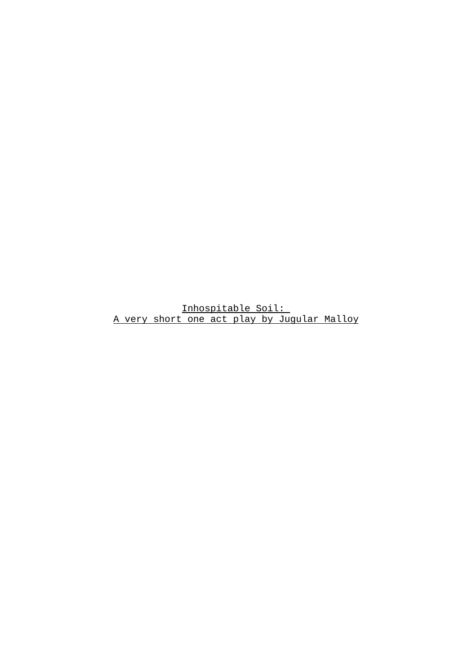Inhospitable Soil: A very short one act play by Jugular Malloy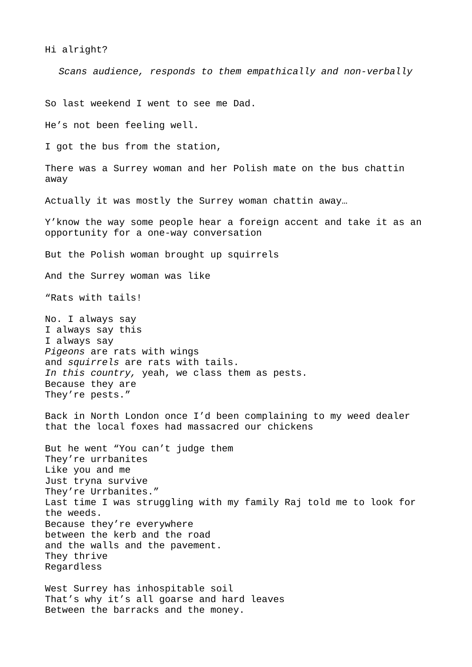Hi alright?

*Scans audience, responds to them empathically and non-verbally*

So last weekend I went to see me Dad.

He's not been feeling well.

I got the bus from the station,

There was a Surrey woman and her Polish mate on the bus chattin away

Actually it was mostly the Surrey woman chattin away…

Y'know the way some people hear a foreign accent and take it as an opportunity for a one-way conversation

But the Polish woman brought up squirrels

And the Surrey woman was like

"Rats with tails!

No. I always say I always say this I always say *Pigeons* are rats with wings and *squirrels* are rats with tails. *In this country,* yeah, we class them as pests. Because they are They're pests."

Back in North London once I'd been complaining to my weed dealer that the local foxes had massacred our chickens

But he went "You can't judge them They're urrbanites Like you and me Just tryna survive They're Urrbanites." Last time I was struggling with my family Raj told me to look for the weeds. Because they're everywhere between the kerb and the road and the walls and the pavement. They thrive Regardless

West Surrey has inhospitable soil That's why it's all goarse and hard leaves Between the barracks and the money.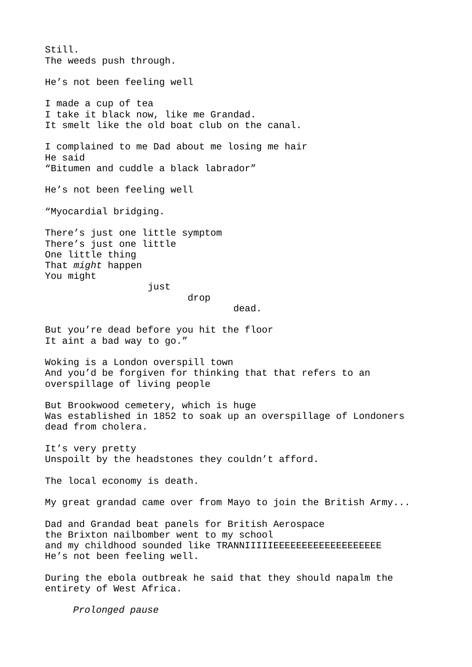Still. The weeds push through. He's not been feeling well I made a cup of tea I take it black now, like me Grandad. It smelt like the old boat club on the canal. I complained to me Dad about me losing me hair He said "Bitumen and cuddle a black labrador" He's not been feeling well "Myocardial bridging. There's just one little symptom There's just one little One little thing That *might* happen You might just drop dead. But you're dead before you hit the floor It aint a bad way to go." Woking is a London overspill town And you'd be forgiven for thinking that that refers to an overspillage of living people But Brookwood cemetery, which is huge Was established in 1852 to soak up an overspillage of Londoners dead from cholera. It's very pretty Unspoilt by the headstones they couldn't afford. The local economy is death. My great grandad came over from Mayo to join the British Army... Dad and Grandad beat panels for British Aerospace the Brixton nailbomber went to my school and my childhood sounded like TRANNIIIIIEEEEEEEEEEEEEEEEEEE He's not been feeling well. During the ebola outbreak he said that they should napalm the entirety of West Africa.

*Prolonged pause*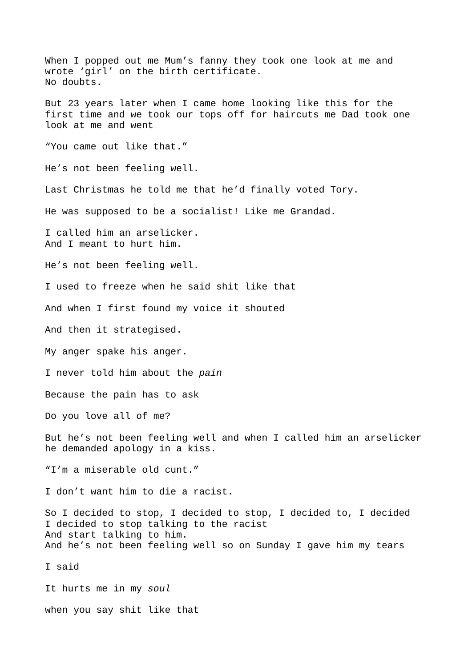When I popped out me Mum's fanny they took one look at me and wrote 'girl' on the birth certificate. No doubts. But 23 years later when I came home looking like this for the first time and we took our tops off for haircuts me Dad took one look at me and went "You came out like that." He's not been feeling well. Last Christmas he told me that he'd finally voted Tory. He was supposed to be a socialist! Like me Grandad. I called him an arselicker. And I meant to hurt him. He's not been feeling well. I used to freeze when he said shit like that And when I first found my voice it shouted And then it strategised. My anger spake his anger. I never told him about the *pain* Because the pain has to ask Do you love all of me? But he's not been feeling well and when I called him an arselicker he demanded apology in a kiss. "I'm a miserable old cunt." I don't want him to die a racist. So I decided to stop, I decided to stop, I decided to, I decided I decided to stop talking to the racist And start talking to him. And he's not been feeling well so on Sunday I gave him my tears I said It hurts me in my *soul* when you say shit like that